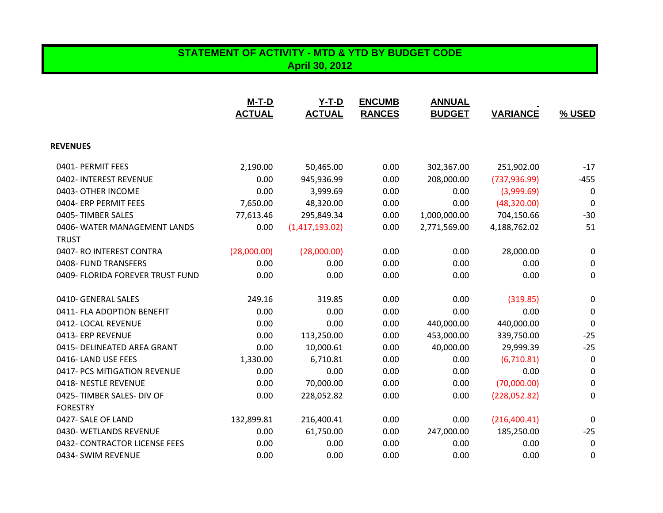## **STATEMENT OF ACTIVITY - MTD & YTD BY BUDGET CODE April 30, 2012**

|                                  | <b>M-T-D</b><br><b>ACTUAL</b> | $Y-T-D$<br><b>ACTUAL</b> | <b>ENCUMB</b><br><b>RANCES</b> | <b>ANNUAL</b><br><b>BUDGET</b> | <b>VARIANCE</b> | % USED |
|----------------------------------|-------------------------------|--------------------------|--------------------------------|--------------------------------|-----------------|--------|
|                                  |                               |                          |                                |                                |                 |        |
| <b>REVENUES</b>                  |                               |                          |                                |                                |                 |        |
| 0401- PERMIT FEES                | 2,190.00                      | 50,465.00                | 0.00                           | 302,367.00                     | 251,902.00      | $-17$  |
| 0402- INTEREST REVENUE           | 0.00                          | 945,936.99               | 0.00                           | 208,000.00                     | (737, 936.99)   | $-455$ |
| 0403- OTHER INCOME               | 0.00                          | 3,999.69                 | 0.00                           | 0.00                           | (3,999.69)      | 0      |
| 0404- ERP PERMIT FEES            | 7,650.00                      | 48,320.00                | 0.00                           | 0.00                           | (48, 320.00)    | 0      |
| 0405-TIMBER SALES                | 77,613.46                     | 295,849.34               | 0.00                           | 1,000,000.00                   | 704,150.66      | $-30$  |
| 0406- WATER MANAGEMENT LANDS     | 0.00                          | (1,417,193.02)           | 0.00                           | 2,771,569.00                   | 4,188,762.02    | 51     |
| <b>TRUST</b>                     |                               |                          |                                |                                |                 |        |
| 0407- RO INTEREST CONTRA         | (28,000.00)                   | (28,000.00)              | 0.00                           | 0.00                           | 28,000.00       | 0      |
| 0408- FUND TRANSFERS             | 0.00                          | 0.00                     | 0.00                           | 0.00                           | 0.00            | 0      |
| 0409- FLORIDA FOREVER TRUST FUND | 0.00                          | 0.00                     | 0.00                           | 0.00                           | 0.00            | 0      |
| 0410- GENERAL SALES              | 249.16                        | 319.85                   | 0.00                           | 0.00                           | (319.85)        | 0      |
| 0411- FLA ADOPTION BENEFIT       | 0.00                          | 0.00                     | 0.00                           | 0.00                           | 0.00            | 0      |
| 0412-LOCAL REVENUE               | 0.00                          | 0.00                     | 0.00                           | 440,000.00                     | 440,000.00      | 0      |
| 0413- ERP REVENUE                | 0.00                          | 113,250.00               | 0.00                           | 453,000.00                     | 339,750.00      | $-25$  |
| 0415- DELINEATED AREA GRANT      | 0.00                          | 10,000.61                | 0.00                           | 40,000.00                      | 29,999.39       | $-25$  |
| 0416-LAND USE FEES               | 1,330.00                      | 6,710.81                 | 0.00                           | 0.00                           | (6,710.81)      | 0      |
| 0417- PCS MITIGATION REVENUE     | 0.00                          | 0.00                     | 0.00                           | 0.00                           | 0.00            | 0      |
| 0418-NESTLE REVENUE              | 0.00                          | 70,000.00                | 0.00                           | 0.00                           | (70,000.00)     | 0      |
| 0425-TIMBER SALES- DIV OF        | 0.00                          | 228,052.82               | 0.00                           | 0.00                           | (228,052.82)    | 0      |
| <b>FORESTRY</b>                  |                               |                          |                                |                                |                 |        |
| 0427- SALE OF LAND               | 132,899.81                    | 216,400.41               | 0.00                           | 0.00                           | (216, 400.41)   | 0      |
| 0430- WETLANDS REVENUE           | 0.00                          | 61,750.00                | 0.00                           | 247,000.00                     | 185,250.00      | $-25$  |
| 0432- CONTRACTOR LICENSE FEES    | 0.00                          | 0.00                     | 0.00                           | 0.00                           | 0.00            | 0      |
| 0434- SWIM REVENUE               | 0.00                          | 0.00                     | 0.00                           | 0.00                           | 0.00            | 0      |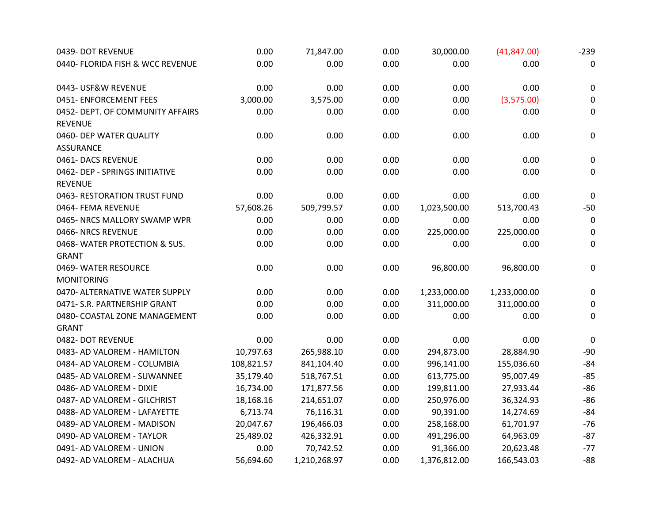| 0439- DOT REVENUE                | 0.00       | 71,847.00    | 0.00 | 30,000.00    | (41, 847.00) | $-239$           |
|----------------------------------|------------|--------------|------|--------------|--------------|------------------|
| 0440- FLORIDA FISH & WCC REVENUE | 0.00       | 0.00         | 0.00 | 0.00         | 0.00         | 0                |
| 0443- USF&W REVENUE              | 0.00       | 0.00         | 0.00 | 0.00         | 0.00         | $\pmb{0}$        |
| 0451- ENFORCEMENT FEES           | 3,000.00   | 3,575.00     | 0.00 | 0.00         | (3,575.00)   | 0                |
| 0452- DEPT. OF COMMUNITY AFFAIRS | 0.00       | 0.00         | 0.00 | 0.00         | 0.00         | $\boldsymbol{0}$ |
| <b>REVENUE</b>                   |            |              |      |              |              |                  |
| 0460- DEP WATER QUALITY          | 0.00       | 0.00         | 0.00 | 0.00         | 0.00         | $\pmb{0}$        |
| <b>ASSURANCE</b>                 |            |              |      |              |              |                  |
| 0461- DACS REVENUE               | 0.00       | 0.00         | 0.00 | 0.00         | 0.00         | $\mathbf 0$      |
| 0462- DEP - SPRINGS INITIATIVE   | 0.00       | 0.00         | 0.00 | 0.00         | 0.00         | $\mathbf 0$      |
| <b>REVENUE</b>                   |            |              |      |              |              |                  |
| 0463- RESTORATION TRUST FUND     | 0.00       | 0.00         | 0.00 | 0.00         | 0.00         | $\mathbf 0$      |
| 0464- FEMA REVENUE               | 57,608.26  | 509,799.57   | 0.00 | 1,023,500.00 | 513,700.43   | $-50$            |
| 0465- NRCS MALLORY SWAMP WPR     | 0.00       | 0.00         | 0.00 | 0.00         | 0.00         | $\mathbf 0$      |
| 0466-NRCS REVENUE                | 0.00       | 0.00         | 0.00 | 225,000.00   | 225,000.00   | 0                |
| 0468-WATER PROTECTION & SUS.     | 0.00       | 0.00         | 0.00 | 0.00         | 0.00         | $\mathbf 0$      |
| <b>GRANT</b>                     |            |              |      |              |              |                  |
| 0469- WATER RESOURCE             | 0.00       | 0.00         | 0.00 | 96,800.00    | 96,800.00    | $\boldsymbol{0}$ |
| <b>MONITORING</b>                |            |              |      |              |              |                  |
| 0470- ALTERNATIVE WATER SUPPLY   | 0.00       | 0.00         | 0.00 | 1,233,000.00 | 1,233,000.00 | $\mathbf 0$      |
| 0471- S.R. PARTNERSHIP GRANT     | 0.00       | 0.00         | 0.00 | 311,000.00   | 311,000.00   | $\mathbf 0$      |
| 0480- COASTAL ZONE MANAGEMENT    | 0.00       | 0.00         | 0.00 | 0.00         | 0.00         | 0                |
| <b>GRANT</b>                     |            |              |      |              |              |                  |
| 0482- DOT REVENUE                | 0.00       | 0.00         | 0.00 | 0.00         | 0.00         | 0                |
| 0483- AD VALOREM - HAMILTON      | 10,797.63  | 265,988.10   | 0.00 | 294,873.00   | 28,884.90    | $-90$            |
| 0484- AD VALOREM - COLUMBIA      | 108,821.57 | 841,104.40   | 0.00 | 996,141.00   | 155,036.60   | $-84$            |
| 0485- AD VALOREM - SUWANNEE      | 35,179.40  | 518,767.51   | 0.00 | 613,775.00   | 95,007.49    | $-85$            |
| 0486- AD VALOREM - DIXIE         | 16,734.00  | 171,877.56   | 0.00 | 199,811.00   | 27,933.44    | $-86$            |
| 0487- AD VALOREM - GILCHRIST     | 18,168.16  | 214,651.07   | 0.00 | 250,976.00   | 36,324.93    | $-86$            |
| 0488- AD VALOREM - LAFAYETTE     | 6,713.74   | 76,116.31    | 0.00 | 90,391.00    | 14,274.69    | $-84$            |
| 0489- AD VALOREM - MADISON       | 20,047.67  | 196,466.03   | 0.00 | 258,168.00   | 61,701.97    | $-76$            |
| 0490- AD VALOREM - TAYLOR        | 25,489.02  | 426,332.91   | 0.00 | 491,296.00   | 64,963.09    | $-87$            |
| 0491- AD VALOREM - UNION         | 0.00       | 70,742.52    | 0.00 | 91,366.00    | 20,623.48    | $-77$            |
| 0492- AD VALOREM - ALACHUA       | 56,694.60  | 1,210,268.97 | 0.00 | 1,376,812.00 | 166,543.03   | $-88$            |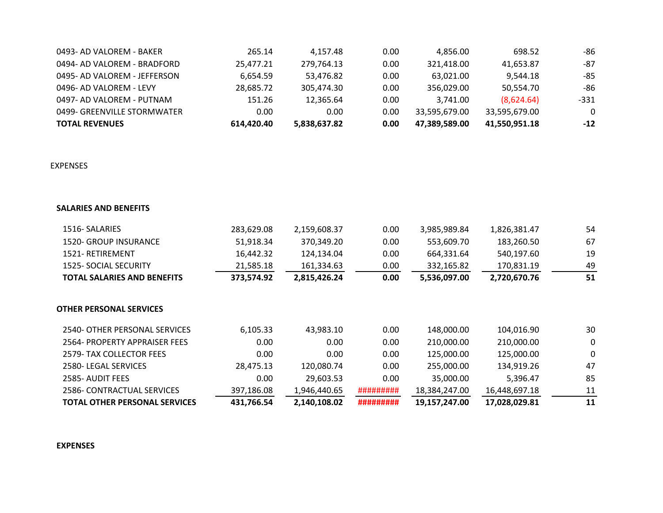| <b>TOTAL REVENUES</b>        | 614.420.40 | 5.838.637.82 | 0.00 | 47.389.589.00 | 41.550.951.18 | $-12$    |
|------------------------------|------------|--------------|------|---------------|---------------|----------|
| 0499- GREENVILLE STORMWATER  | 0.00       | 0.00         | 0.00 | 33.595.679.00 | 33.595.679.00 | $\Omega$ |
| 0497- AD VALOREM - PUTNAM    | 151.26     | 12.365.64    | 0.00 | 3.741.00      | (8,624.64)    | -331     |
| 0496- AD VALOREM - LEVY      | 28.685.72  | 305.474.30   | 0.00 | 356,029.00    | 50.554.70     | -86      |
| 0495- AD VALOREM - JEFFERSON | 6.654.59   | 53.476.82    | 0.00 | 63,021.00     | 9.544.18      | -85      |
| 0494- AD VALOREM - BRADFORD  | 25.477.21  | 279,764.13   | 0.00 | 321.418.00    | 41.653.87     | -87      |
| 0493- AD VALOREM - BAKER     | 265.14     | 4.157.48     | 0.00 | 4.856.00      | 698.52        | -86      |

## EXPENSES

## **SALARIES AND BENEFITS**

| 1516- SALARIES                     | 283,629.08 | 2,159,608.37 | 0.00      | 3,985,989.84  | 1,826,381.47  | 54 |
|------------------------------------|------------|--------------|-----------|---------------|---------------|----|
| 1520- GROUP INSURANCE              | 51,918.34  | 370,349.20   | 0.00      | 553,609.70    | 183,260.50    | 67 |
| 1521- RETIREMENT                   | 16,442.32  | 124,134.04   | 0.00      | 664,331.64    | 540,197.60    | 19 |
| <b>1525- SOCIAL SECURITY</b>       | 21,585.18  | 161,334.63   | 0.00      | 332,165.82    | 170,831.19    | 49 |
| <b>TOTAL SALARIES AND BENEFITS</b> | 373,574.92 | 2,815,426.24 | 0.00      | 5,536,097.00  | 2,720,670.76  | 51 |
| <b>OTHER PERSONAL SERVICES</b>     |            |              |           |               |               |    |
| 2540- OTHER PERSONAL SERVICES      | 6,105.33   | 43,983.10    | 0.00      | 148,000.00    | 104,016.90    | 30 |
| 2564- PROPERTY APPRAISER FEES      | 0.00       | 0.00         | 0.00      | 210,000.00    | 210,000.00    | 0  |
| 2579- TAX COLLECTOR FEES           | 0.00       | 0.00         | 0.00      | 125,000.00    | 125,000.00    | 0  |
| 2580- LEGAL SERVICES               | 28,475.13  | 120,080.74   | 0.00      | 255,000.00    | 134,919.26    | 47 |
| 2585- AUDIT FEES                   | 0.00       | 29,603.53    | 0.00      | 35,000.00     | 5,396.47      | 85 |
| 2586- CONTRACTUAL SERVICES         | 397,186.08 | 1,946,440.65 | ######### | 18,384,247.00 | 16,448,697.18 | 11 |
| TOTAL OTHER PERSONAL SERVICES      | 431,766.54 | 2,140,108.02 | ######### | 19,157,247.00 | 17,028,029.81 | 11 |

## **EXPENSES**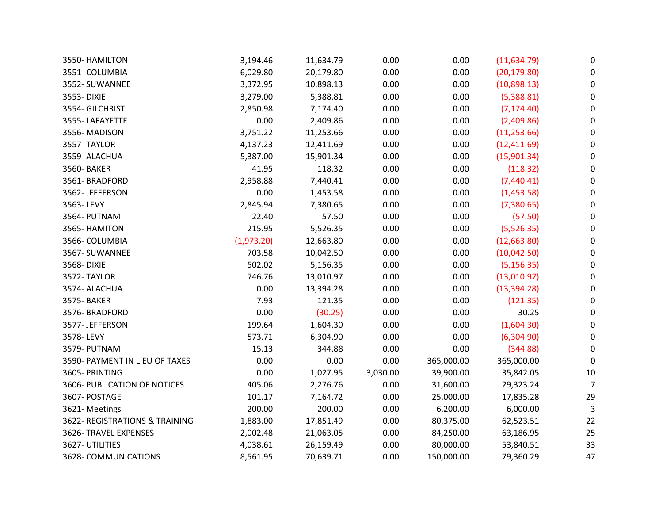| 3550- HAMILTON                 | 3,194.46   | 11,634.79 | 0.00     | 0.00       | (11, 634.79) | 0                |
|--------------------------------|------------|-----------|----------|------------|--------------|------------------|
| 3551- COLUMBIA                 | 6,029.80   | 20,179.80 | 0.00     | 0.00       | (20, 179.80) | 0                |
| 3552- SUWANNEE                 | 3,372.95   | 10,898.13 | 0.00     | 0.00       | (10,898.13)  | $\pmb{0}$        |
| 3553-DIXIE                     | 3,279.00   | 5,388.81  | 0.00     | 0.00       | (5,388.81)   | $\pmb{0}$        |
| 3554- GILCHRIST                | 2,850.98   | 7,174.40  | 0.00     | 0.00       | (7, 174.40)  | 0                |
| 3555-LAFAYETTE                 | 0.00       | 2,409.86  | 0.00     | 0.00       | (2,409.86)   | $\mathbf 0$      |
| 3556-MADISON                   | 3,751.22   | 11,253.66 | 0.00     | 0.00       | (11, 253.66) | $\boldsymbol{0}$ |
| 3557-TAYLOR                    | 4,137.23   | 12,411.69 | 0.00     | 0.00       | (12, 411.69) | 0                |
| 3559- ALACHUA                  | 5,387.00   | 15,901.34 | 0.00     | 0.00       | (15,901.34)  | 0                |
| 3560- BAKER                    | 41.95      | 118.32    | 0.00     | 0.00       | (118.32)     | $\mathbf 0$      |
| 3561-BRADFORD                  | 2,958.88   | 7,440.41  | 0.00     | 0.00       | (7,440.41)   | $\boldsymbol{0}$ |
| 3562-JEFFERSON                 | 0.00       | 1,453.58  | 0.00     | 0.00       | (1,453.58)   | 0                |
| 3563-LEVY                      | 2,845.94   | 7,380.65  | 0.00     | 0.00       | (7,380.65)   | $\boldsymbol{0}$ |
| 3564- PUTNAM                   | 22.40      | 57.50     | 0.00     | 0.00       | (57.50)      | $\boldsymbol{0}$ |
| 3565- HAMITON                  | 215.95     | 5,526.35  | 0.00     | 0.00       | (5,526.35)   | $\boldsymbol{0}$ |
| 3566- COLUMBIA                 | (1,973.20) | 12,663.80 | 0.00     | 0.00       | (12,663.80)  | $\boldsymbol{0}$ |
| 3567-SUWANNEE                  | 703.58     | 10,042.50 | 0.00     | 0.00       | (10,042.50)  | 0                |
| 3568-DIXIE                     | 502.02     | 5,156.35  | 0.00     | 0.00       | (5, 156.35)  | $\pmb{0}$        |
| 3572-TAYLOR                    | 746.76     | 13,010.97 | 0.00     | 0.00       | (13,010.97)  | 0                |
| 3574- ALACHUA                  | 0.00       | 13,394.28 | 0.00     | 0.00       | (13, 394.28) | $\mathbf 0$      |
| 3575- BAKER                    | 7.93       | 121.35    | 0.00     | 0.00       | (121.35)     | $\pmb{0}$        |
| 3576-BRADFORD                  | 0.00       | (30.25)   | 0.00     | 0.00       | 30.25        | 0                |
| 3577- JEFFERSON                | 199.64     | 1,604.30  | 0.00     | 0.00       | (1,604.30)   | $\pmb{0}$        |
| 3578-LEVY                      | 573.71     | 6,304.90  | 0.00     | 0.00       | (6,304.90)   | $\pmb{0}$        |
| 3579- PUTNAM                   | 15.13      | 344.88    | 0.00     | 0.00       | (344.88)     | 0                |
| 3590- PAYMENT IN LIEU OF TAXES | 0.00       | 0.00      | 0.00     | 365,000.00 | 365,000.00   | 0                |
| 3605- PRINTING                 | 0.00       | 1,027.95  | 3,030.00 | 39,900.00  | 35,842.05    | $10\,$           |
| 3606- PUBLICATION OF NOTICES   | 405.06     | 2,276.76  | 0.00     | 31,600.00  | 29,323.24    | $\overline{7}$   |
| 3607- POSTAGE                  | 101.17     | 7,164.72  | 0.00     | 25,000.00  | 17,835.28    | 29               |
| 3621-Meetings                  | 200.00     | 200.00    | 0.00     | 6,200.00   | 6,000.00     | $\overline{3}$   |
| 3622- REGISTRATIONS & TRAINING | 1,883.00   | 17,851.49 | 0.00     | 80,375.00  | 62,523.51    | 22               |
| 3626- TRAVEL EXPENSES          | 2,002.48   | 21,063.05 | 0.00     | 84,250.00  | 63,186.95    | 25               |
| 3627- UTILITIES                | 4,038.61   | 26,159.49 | 0.00     | 80,000.00  | 53,840.51    | 33               |
| 3628- COMMUNICATIONS           | 8,561.95   | 70,639.71 | 0.00     | 150,000.00 | 79,360.29    | 47               |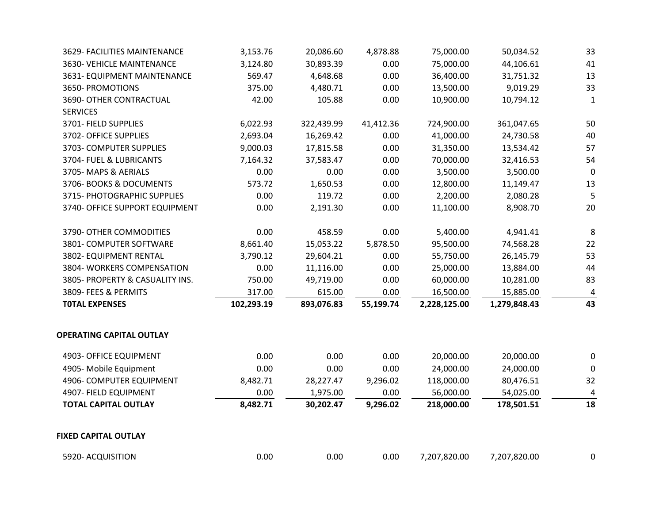| 3629- FACILITIES MAINTENANCE    | 3,153.76   | 20,086.60  | 4,878.88  | 75,000.00    | 50,034.52    | 33          |
|---------------------------------|------------|------------|-----------|--------------|--------------|-------------|
| 3630- VEHICLE MAINTENANCE       | 3,124.80   | 30,893.39  | 0.00      | 75,000.00    | 44,106.61    | 41          |
| 3631- EQUIPMENT MAINTENANCE     | 569.47     | 4,648.68   | 0.00      | 36,400.00    | 31,751.32    | 13          |
| 3650- PROMOTIONS                | 375.00     | 4,480.71   | 0.00      | 13,500.00    | 9,019.29     | 33          |
| 3690- OTHER CONTRACTUAL         | 42.00      | 105.88     | 0.00      | 10,900.00    | 10,794.12    | 1           |
| <b>SERVICES</b>                 |            |            |           |              |              |             |
| 3701- FIELD SUPPLIES            | 6,022.93   | 322,439.99 | 41,412.36 | 724,900.00   | 361,047.65   | 50          |
| 3702- OFFICE SUPPLIES           | 2,693.04   | 16,269.42  | 0.00      | 41,000.00    | 24,730.58    | 40          |
| 3703- COMPUTER SUPPLIES         | 9,000.03   | 17,815.58  | 0.00      | 31,350.00    | 13,534.42    | 57          |
| 3704- FUEL & LUBRICANTS         | 7,164.32   | 37,583.47  | 0.00      | 70,000.00    | 32,416.53    | 54          |
| 3705-MAPS & AERIALS             | 0.00       | 0.00       | 0.00      | 3,500.00     | 3,500.00     | $\mathbf 0$ |
| 3706- BOOKS & DOCUMENTS         | 573.72     | 1,650.53   | 0.00      | 12,800.00    | 11,149.47    | 13          |
| 3715- PHOTOGRAPHIC SUPPLIES     | 0.00       | 119.72     | 0.00      | 2,200.00     | 2,080.28     | 5           |
| 3740- OFFICE SUPPORT EQUIPMENT  | 0.00       | 2,191.30   | 0.00      | 11,100.00    | 8,908.70     | 20          |
| 3790- OTHER COMMODITIES         | 0.00       | 458.59     | 0.00      | 5,400.00     | 4,941.41     | 8           |
| 3801- COMPUTER SOFTWARE         | 8,661.40   | 15,053.22  | 5,878.50  | 95,500.00    | 74,568.28    | 22          |
| 3802- EQUIPMENT RENTAL          | 3,790.12   | 29,604.21  | 0.00      | 55,750.00    | 26,145.79    | 53          |
| 3804- WORKERS COMPENSATION      | 0.00       | 11,116.00  | 0.00      | 25,000.00    | 13,884.00    | 44          |
| 3805- PROPERTY & CASUALITY INS. | 750.00     | 49,719.00  | 0.00      | 60,000.00    | 10,281.00    | 83          |
| 3809- FEES & PERMITS            | 317.00     | 615.00     | 0.00      | 16,500.00    | 15,885.00    | 4           |
| <b>TOTAL EXPENSES</b>           | 102,293.19 | 893,076.83 | 55,199.74 | 2,228,125.00 | 1,279,848.43 | 43          |
| <b>OPERATING CAPITAL OUTLAY</b> |            |            |           |              |              |             |
| 4903- OFFICE EQUIPMENT          | 0.00       | 0.00       | 0.00      | 20,000.00    | 20,000.00    | 0           |
| 4905- Mobile Equipment          | 0.00       | 0.00       | 0.00      | 24,000.00    | 24,000.00    | 0           |
| 4906- COMPUTER EQUIPMENT        | 8,482.71   | 28,227.47  | 9,296.02  | 118,000.00   | 80,476.51    | 32          |
| 4907- FIELD EQUIPMENT           | 0.00       | 1,975.00   | 0.00      | 56,000.00    | 54,025.00    | 4           |
| <b>TOTAL CAPITAL OUTLAY</b>     | 8,482.71   | 30,202.47  | 9,296.02  | 218,000.00   | 178,501.51   | 18          |
| <b>FIXED CAPITAL OUTLAY</b>     |            |            |           |              |              |             |
| 5920- ACQUISITION               | 0.00       | 0.00       | 0.00      | 7,207,820.00 | 7,207,820.00 | 0           |